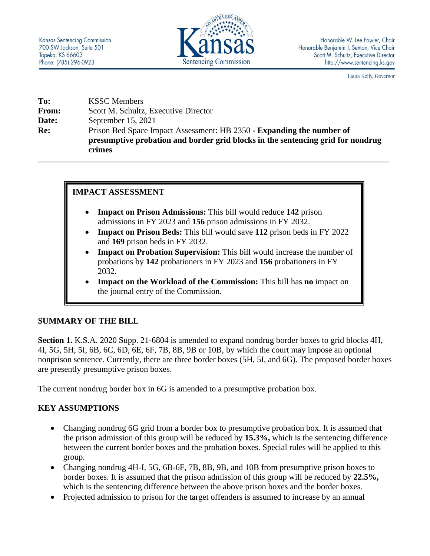

Laura Kelly, Governor

| To:          | <b>KSSC</b> Members                                                             |
|--------------|---------------------------------------------------------------------------------|
| <b>From:</b> | Scott M. Schultz, Executive Director                                            |
| Date:        | September $15, 2021$                                                            |
| Re:          | Prison Bed Space Impact Assessment: HB 2350 - <b>Expanding the number of</b>    |
|              | presumptive probation and border grid blocks in the sentencing grid for nondrug |
|              | crimes.                                                                         |

**\_\_\_\_\_\_\_\_\_\_\_\_\_\_\_\_\_\_\_\_\_\_\_\_\_\_\_\_\_\_\_\_\_\_\_\_\_\_\_\_\_\_\_\_\_\_\_\_\_\_\_\_\_\_\_\_\_\_\_\_\_\_\_\_\_\_\_\_\_\_\_\_\_\_\_\_\_\_\_\_\_\_\_\_\_\_\_\_\_\_\_**

## **IMPACT ASSESSMENT**

- **Impact on Prison Admissions:** This bill would reduce **142** prison admissions in FY 2023 and **156** prison admissions in FY 2032.
- **Impact on Prison Beds:** This bill would save **112** prison beds in FY 2022 and **169** prison beds in FY 2032.
- **Impact on Probation Supervision:** This bill would increase the number of probations by **142** probationers in FY 2023 and **156** probationers in FY 2032.
- **Impact on the Workload of the Commission:** This bill has **no** impact on the journal entry of the Commission.

## **SUMMARY OF THE BILL**

**Section 1.** K.S.A. 2020 Supp. 21-6804 is amended to expand nondrug border boxes to grid blocks 4H, 4I, 5G, 5H, 5I, 6B, 6C, 6D, 6E, 6F, 7B, 8B, 9B or 10B, by which the court may impose an optional nonprison sentence. Currently, there are three border boxes (5H, 5I, and 6G). The proposed border boxes are presently presumptive prison boxes.

The current nondrug border box in 6G is amended to a presumptive probation box.

## **KEY ASSUMPTIONS**

- Changing nondrug 6G grid from a border box to presumptive probation box. It is assumed that the prison admission of this group will be reduced by **15.3%,** which is the sentencing difference between the current border boxes and the probation boxes. Special rules will be applied to this group.
- Changing nondrug 4H-I, 5G, 6B-6F, 7B, 8B, 9B, and 10B from presumptive prison boxes to border boxes. It is assumed that the prison admission of this group will be reduced by **22.5%,** which is the sentencing difference between the above prison boxes and the border boxes.
- Projected admission to prison for the target offenders is assumed to increase by an annual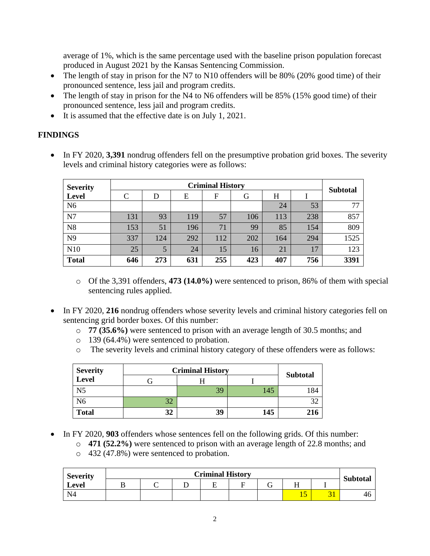average of 1%, which is the same percentage used with the baseline prison population forecast produced in August 2021 by the Kansas Sentencing Commission.

- The length of stay in prison for the N7 to N10 offenders will be 80% (20% good time) of their pronounced sentence, less jail and program credits.
- The length of stay in prison for the N4 to N6 offenders will be 85% (15% good time) of their pronounced sentence, less jail and program credits.
- It is assumed that the effective date is on July 1, 2021.

# **FINDINGS**

• In FY 2020, 3,391 nondrug offenders fell on the presumptive probation grid boxes. The severity levels and criminal history categories were as follows:

| <b>Severity</b> |     | <b>Subtotal</b> |     |     |     |     |     |      |
|-----------------|-----|-----------------|-----|-----|-----|-----|-----|------|
| <b>Level</b>    | C   | D               | E   | F   | G   | H   |     |      |
| N <sub>6</sub>  |     |                 |     |     |     | 24  | 53  | 77   |
| N7              | 131 | 93              | 119 | 57  | 106 | 113 | 238 | 857  |
| N8              | 153 | 51              | 196 | 71  | 99  | 85  | 154 | 809  |
| N9              | 337 | 124             | 292 | 112 | 202 | 164 | 294 | 1525 |
| N10             | 25  |                 | 24  | 15  | 16  | 21  | 17  | 123  |
| <b>Total</b>    | 646 | 273             | 631 | 255 | 423 | 407 | 756 | 3391 |

- o Of the 3,391 offenders, **473 (14.0%)** were sentenced to prison, 86% of them with special sentencing rules applied.
- In FY 2020, 216 nondrug offenders whose severity levels and criminal history categories fell on sentencing grid border boxes. Of this number:
	- o **77 (35.6%)** were sentenced to prison with an average length of 30.5 months; and
	- o 139 (64.4%) were sentenced to probation.
	- o The severity levels and criminal history category of these offenders were as follows:

| <b>Severity</b> | <b>Criminal History</b> | <b>Subtotal</b> |     |     |
|-----------------|-------------------------|-----------------|-----|-----|
| <b>Level</b>    |                         |                 |     |     |
| N <sub>5</sub>  |                         | 39              | 145 | 184 |
| N <sub>6</sub>  | 32                      |                 |     | 20  |
| <b>Total</b>    | 32                      | 39              | 145 |     |

- In FY 2020, **903** offenders whose sentences fell on the following grids. Of this number:
	- o **471 (52.2%)** were sentenced to prison with an average length of 22.8 months; and
	- o 432 (47.8%) were sentenced to probation.

| <b>Severity</b> | <b>Criminal History</b> |  |  |  |  |   |           |  |                 |
|-----------------|-------------------------|--|--|--|--|---|-----------|--|-----------------|
| Level           |                         |  |  |  |  | ⌒ |           |  | <b>Subtotal</b> |
| N4              |                         |  |  |  |  |   | c<br>1. J |  | 46              |